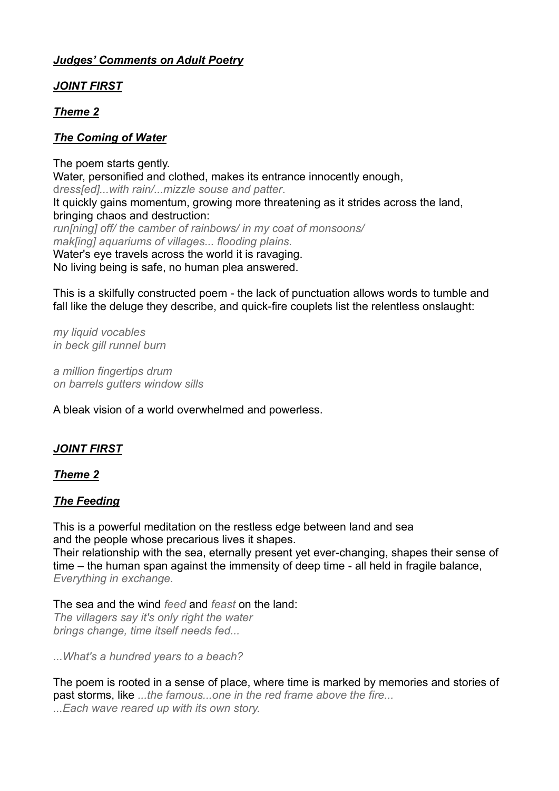## *Judges' Comments on Adult Poetry*

## *JOINT FIRST*

## *Theme 2*

## *The Coming of Water*

The poem starts gently. Water, personified and clothed, makes its entrance innocently enough, d*ress[ed]...with rain/...mizzle souse and patter*. It quickly gains momentum, growing more threatening as it strides across the land, bringing chaos and destruction: *run[ning] off/ the camber of rainbows/ in my coat of monsoons/ mak[ing] aquariums of villages... flooding plains.* Water's eye travels across the world it is ravaging. No living being is safe, no human plea answered.

This is a skilfully constructed poem - the lack of punctuation allows words to tumble and fall like the deluge they describe, and quick-fire couplets list the relentless onslaught:

*my liquid vocables in beck gill runnel burn*

*a million fingertips drum on barrels gutters window sills*

A bleak vision of a world overwhelmed and powerless.

# *JOINT FIRST*

### *Theme 2*

### *The Feeding*

This is a powerful meditation on the restless edge between land and sea and the people whose precarious lives it shapes. Their relationship with the sea, eternally present yet ever-changing, shapes their sense of time – the human span against the immensity of deep time - all held in fragile balance, *Everything in exchange.*

The sea and the wind *feed* and *feast* on the land: *The villagers say it's only right the water brings change, time itself needs fed...*

*...What's a hundred years to a beach?*

The poem is rooted in a sense of place, where time is marked by memories and stories of past storms, like *...the famous...one in the red frame above the fire... ...Each wave reared up with its own story.*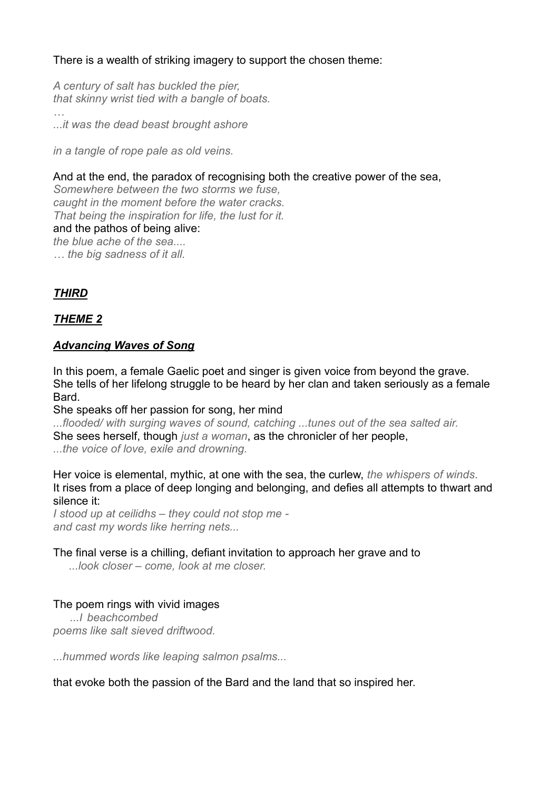## There is a wealth of striking imagery to support the chosen theme:

*A century of salt has buckled the pier, that skinny wrist tied with a bangle of boats.*

*...it was the dead beast brought ashore*

*in a tangle of rope pale as old veins.*

### And at the end, the paradox of recognising both the creative power of the sea,

*Somewhere between the two storms we fuse, caught in the moment before the water cracks. That being the inspiration for life, the lust for it.* and the pathos of being alive: *the blue ache of the sea.... … the big sadness of it all.*

## *THIRD*

*…*

## *THEME 2*

### *Advancing Waves of Song*

In this poem, a female Gaelic poet and singer is given voice from beyond the grave. She tells of her lifelong struggle to be heard by her clan and taken seriously as a female Bard.

She speaks off her passion for song, her mind

*...flooded/ with surging waves of sound, catching ...tunes out of the sea salted air.* She sees herself, though *just a woman*, as the chronicler of her people, *...the voice of love, exile and drowning.*

Her voice is elemental, mythic, at one with the sea, the curlew, *the whispers of winds*. It rises from a place of deep longing and belonging, and defies all attempts to thwart and silence it:

*I stood up at ceilidhs – they could not stop me and cast my words like herring nets...*

#### The final verse is a chilling, defiant invitation to approach her grave and to

 *...look closer – come, look at me closer.*

### The poem rings with vivid images

*...I beachcombed poems like salt sieved driftwood.*

*...hummed words like leaping salmon psalms...*

that evoke both the passion of the Bard and the land that so inspired her.